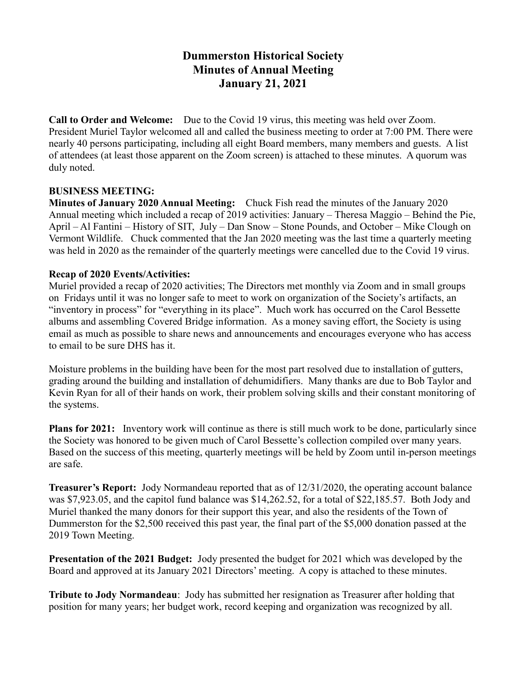## Dummerston Historical Society Minutes of Annual Meeting January 21, 2021

Call to Order and Welcome: Due to the Covid 19 virus, this meeting was held over Zoom. President Muriel Taylor welcomed all and called the business meeting to order at 7:00 PM. There were nearly 40 persons participating, including all eight Board members, many members and guests. A list of attendees (at least those apparent on the Zoom screen) is attached to these minutes. A quorum was duly noted.

## BUSINESS MEETING:

Minutes of January 2020 Annual Meeting: Chuck Fish read the minutes of the January 2020 Annual meeting which included a recap of 2019 activities: January – Theresa Maggio – Behind the Pie, April – Al Fantini – History of SIT, July – Dan Snow – Stone Pounds, and October – Mike Clough on Vermont Wildlife. Chuck commented that the Jan 2020 meeting was the last time a quarterly meeting was held in 2020 as the remainder of the quarterly meetings were cancelled due to the Covid 19 virus.

## Recap of 2020 Events/Activities:

Muriel provided a recap of 2020 activities; The Directors met monthly via Zoom and in small groups on Fridays until it was no longer safe to meet to work on organization of the Society's artifacts, an "inventory in process" for "everything in its place". Much work has occurred on the Carol Bessette albums and assembling Covered Bridge information. As a money saving effort, the Society is using email as much as possible to share news and announcements and encourages everyone who has access to email to be sure DHS has it.

Moisture problems in the building have been for the most part resolved due to installation of gutters, grading around the building and installation of dehumidifiers. Many thanks are due to Bob Taylor and Kevin Ryan for all of their hands on work, their problem solving skills and their constant monitoring of the systems.

Plans for 2021: Inventory work will continue as there is still much work to be done, particularly since the Society was honored to be given much of Carol Bessette's collection compiled over many years. Based on the success of this meeting, quarterly meetings will be held by Zoom until in-person meetings are safe.

Treasurer's Report: Jody Normandeau reported that as of 12/31/2020, the operating account balance was \$7,923.05, and the capitol fund balance was \$14,262.52, for a total of \$22,185.57. Both Jody and Muriel thanked the many donors for their support this year, and also the residents of the Town of Dummerston for the \$2,500 received this past year, the final part of the \$5,000 donation passed at the 2019 Town Meeting.

Presentation of the 2021 Budget: Jody presented the budget for 2021 which was developed by the Board and approved at its January 2021 Directors' meeting. A copy is attached to these minutes.

Tribute to Jody Normandeau: Jody has submitted her resignation as Treasurer after holding that position for many years; her budget work, record keeping and organization was recognized by all.